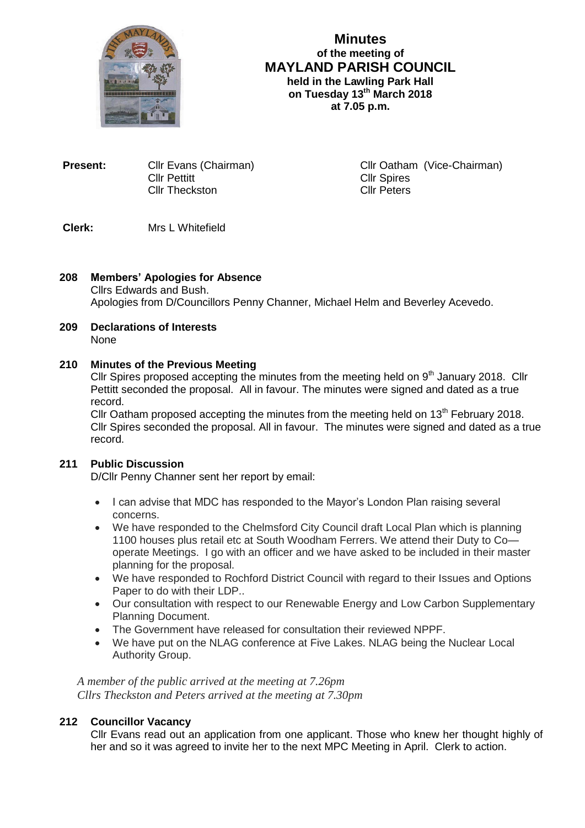

## **Minutes of the meeting of MAYLAND PARISH COUNCIL held in the Lawling Park Hall on Tuesday 13th March 2018 at 7.05 p.m.**

**Present:** Cllr Evans (Chairman) Cllr Oatham (Vice-Chairman) Cllr Pettitt<br>Cllr Theckston Cllr Cllr Peters Cllr Theckston

# **Clerk:** Mrs L Whitefield

## **208 Members' Apologies for Absence** Cllrs Edwards and Bush. Apologies from D/Councillors Penny Channer, Michael Helm and Beverley Acevedo.

**209 Declarations of Interests** None

## **210 Minutes of the Previous Meeting**

Cllr Spires proposed accepting the minutes from the meeting held on  $9<sup>th</sup>$  January 2018. Cllr Pettitt seconded the proposal. All in favour. The minutes were signed and dated as a true record.

Cllr Oatham proposed accepting the minutes from the meeting held on  $13<sup>th</sup>$  February 2018. Cllr Spires seconded the proposal. All in favour. The minutes were signed and dated as a true record.

## **211 Public Discussion**

D/Cllr Penny Channer sent her report by email:

- I can advise that MDC has responded to the Mayor's London Plan raising several concerns.
- We have responded to the Chelmsford City Council draft Local Plan which is planning 1100 houses plus retail etc at South Woodham Ferrers. We attend their Duty to Co operate Meetings. I go with an officer and we have asked to be included in their master planning for the proposal.
- We have responded to Rochford District Council with regard to their Issues and Options Paper to do with their LDP..
- Our consultation with respect to our Renewable Energy and Low Carbon Supplementary Planning Document.
- The Government have released for consultation their reviewed NPPF.
- We have put on the NLAG conference at Five Lakes. NLAG being the Nuclear Local Authority Group.

*A member of the public arrived at the meeting at 7.26pm Cllrs Theckston and Peters arrived at the meeting at 7.30pm*

## **212 Councillor Vacancy**

Cllr Evans read out an application from one applicant. Those who knew her thought highly of her and so it was agreed to invite her to the next MPC Meeting in April. Clerk to action.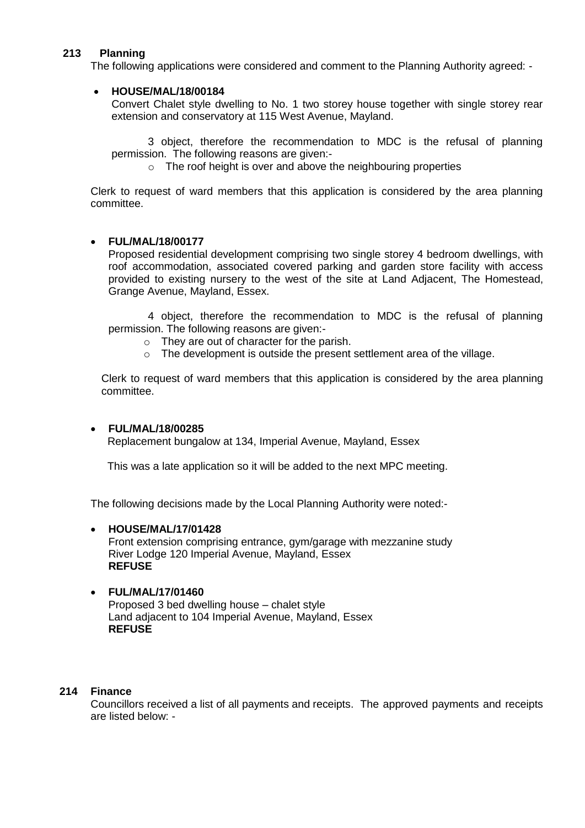## **213 Planning**

The following applications were considered and comment to the Planning Authority agreed: -

### **HOUSE/MAL/18/00184**

Convert Chalet style dwelling to No. 1 two storey house together with single storey rear extension and conservatory at 115 West Avenue, Mayland.

3 object, therefore the recommendation to MDC is the refusal of planning permission. The following reasons are given:-

o The roof height is over and above the neighbouring properties

Clerk to request of ward members that this application is considered by the area planning committee.

### **FUL/MAL/18/00177**

Proposed residential development comprising two single storey 4 bedroom dwellings, with roof accommodation, associated covered parking and garden store facility with access provided to existing nursery to the west of the site at Land Adjacent, The Homestead, Grange Avenue, Mayland, Essex.

4 object, therefore the recommendation to MDC is the refusal of planning permission. The following reasons are given:-

- o They are out of character for the parish.
- o The development is outside the present settlement area of the village.

Clerk to request of ward members that this application is considered by the area planning committee.

### **FUL/MAL/18/00285**

Replacement bungalow at 134, Imperial Avenue, Mayland, Essex

This was a late application so it will be added to the next MPC meeting.

The following decisions made by the Local Planning Authority were noted:-

### **HOUSE/MAL/17/01428**

Front extension comprising entrance, gym/garage with mezzanine study River Lodge 120 Imperial Avenue, Mayland, Essex **REFUSE**

### **FUL/MAL/17/01460**

Proposed 3 bed dwelling house – chalet style Land adjacent to 104 Imperial Avenue, Mayland, Essex **REFUSE**

### **214 Finance**

Councillors received a list of all payments and receipts. The approved payments and receipts are listed below: -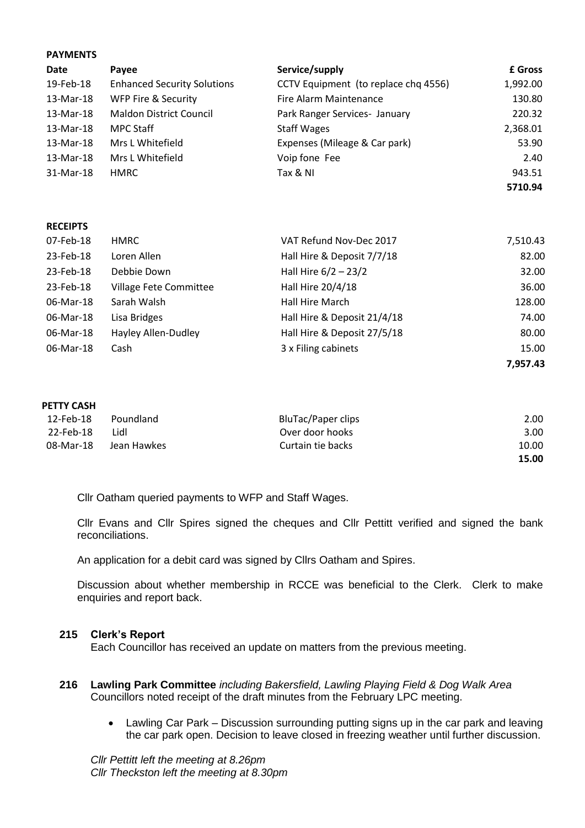| <b>PATIVIENIS</b> |                                    |                                      |          |  |  |
|-------------------|------------------------------------|--------------------------------------|----------|--|--|
| <b>Date</b>       | Payee                              | Service/supply                       | £ Gross  |  |  |
| 19-Feb-18         | <b>Enhanced Security Solutions</b> | CCTV Equipment (to replace chq 4556) | 1,992.00 |  |  |
| 13-Mar-18         | WFP Fire & Security                | Fire Alarm Maintenance               | 130.80   |  |  |
| 13-Mar-18         | <b>Maldon District Council</b>     | Park Ranger Services- January        | 220.32   |  |  |
| 13-Mar-18         | <b>MPC Staff</b>                   | <b>Staff Wages</b>                   | 2,368.01 |  |  |
| 13-Mar-18         | Mrs L Whitefield                   | Expenses (Mileage & Car park)        | 53.90    |  |  |
| 13-Mar-18         | Mrs L Whitefield                   | Voip fone Fee                        | 2.40     |  |  |
| 31-Mar-18         | <b>HMRC</b>                        | Tax & NI                             | 943.51   |  |  |
|                   |                                    |                                      | 5710.94  |  |  |

#### **RECEIPTS**

**PAYMENTS**

| 07-Feb-18 | HMRC                          | VAT Refund Nov-Dec 2017     | 7,510.43 |
|-----------|-------------------------------|-----------------------------|----------|
| 23-Feb-18 | Loren Allen                   | Hall Hire & Deposit 7/7/18  | 82.00    |
| 23-Feb-18 | Debbie Down                   | Hall Hire $6/2 - 23/2$      | 32.00    |
| 23-Feb-18 | <b>Village Fete Committee</b> | Hall Hire 20/4/18           | 36.00    |
| 06-Mar-18 | Sarah Walsh                   | Hall Hire March             | 128.00   |
| 06-Mar-18 | Lisa Bridges                  | Hall Hire & Deposit 21/4/18 | 74.00    |
| 06-Mar-18 | Hayley Allen-Dudley           | Hall Hire & Deposit 27/5/18 | 80.00    |
| 06-Mar-18 | Cash                          | 3 x Filing cabinets         | 15.00    |
|           |                               |                             | 7,957.43 |

#### **PETTY CASH**

| 12-Feb-18 | Poundland   | BluTac/Paper clips | 2.00  |
|-----------|-------------|--------------------|-------|
| 22-Feb-18 | Lidl        | Over door hooks    | 3.00  |
| 08-Mar-18 | Jean Hawkes | Curtain tie backs  | 10.00 |
|           |             |                    | 15.00 |

Cllr Oatham queried payments to WFP and Staff Wages.

Cllr Evans and Cllr Spires signed the cheques and Cllr Pettitt verified and signed the bank reconciliations.

An application for a debit card was signed by Cllrs Oatham and Spires.

Discussion about whether membership in RCCE was beneficial to the Clerk. Clerk to make enquiries and report back.

### **215 Clerk's Report**

Each Councillor has received an update on matters from the previous meeting.

- **216 Lawling Park Committee** *including Bakersfield, Lawling Playing Field & Dog Walk Area* Councillors noted receipt of the draft minutes from the February LPC meeting.
	- Lawling Car Park Discussion surrounding putting signs up in the car park and leaving the car park open. Decision to leave closed in freezing weather until further discussion.

*Cllr Pettitt left the meeting at 8.26pm Cllr Theckston left the meeting at 8.30pm*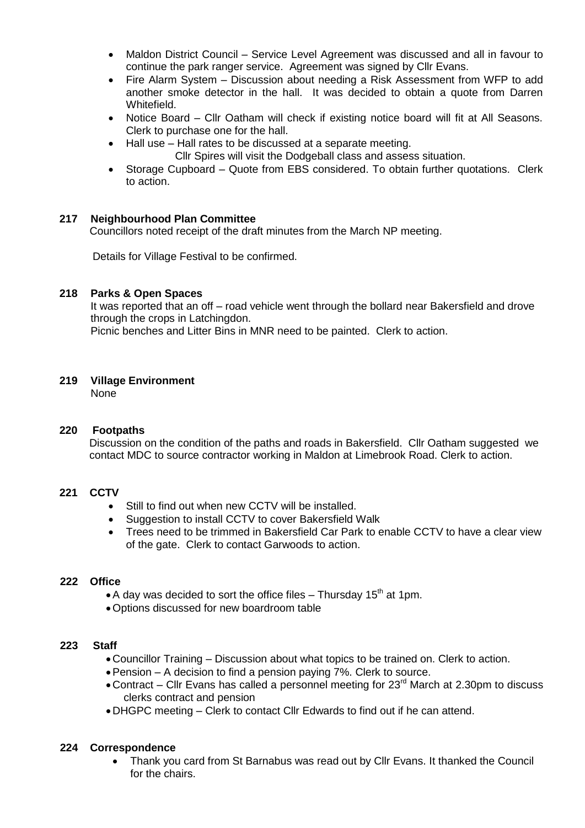- Maldon District Council Service Level Agreement was discussed and all in favour to continue the park ranger service. Agreement was signed by Cllr Evans.
- Fire Alarm System Discussion about needing a Risk Assessment from WFP to add another smoke detector in the hall. It was decided to obtain a quote from Darren Whitefield.
- Notice Board Cllr Oatham will check if existing notice board will fit at All Seasons. Clerk to purchase one for the hall.
- Hall use Hall rates to be discussed at a separate meeting.
	- Cllr Spires will visit the Dodgeball class and assess situation.
- Storage Cupboard Quote from EBS considered. To obtain further quotations. Clerk to action.

## **217 Neighbourhood Plan Committee**

Councillors noted receipt of the draft minutes from the March NP meeting.

Details for Village Festival to be confirmed.

### **218 Parks & Open Spaces**

It was reported that an off – road vehicle went through the bollard near Bakersfield and drove through the crops in Latchingdon.

Picnic benches and Litter Bins in MNR need to be painted. Clerk to action.

## **219 Village Environment**

None

## **220 Footpaths**

 Discussion on the condition of the paths and roads in Bakersfield. Cllr Oatham suggested we contact MDC to source contractor working in Maldon at Limebrook Road. Clerk to action.

## **221 CCTV**

- Still to find out when new CCTV will be installed.
- Suggestion to install CCTV to cover Bakersfield Walk
- Trees need to be trimmed in Bakersfield Car Park to enable CCTV to have a clear view of the gate. Clerk to contact Garwoods to action.

## **222 Office**

- A day was decided to sort the office files Thursday 15<sup>th</sup> at 1pm.
- Options discussed for new boardroom table

### **223 Staff**

- Councillor Training Discussion about what topics to be trained on. Clerk to action.
- Pension A decision to find a pension paying 7%. Clerk to source.
- Contract Cllr Evans has called a personnel meeting for 23<sup>rd</sup> March at 2.30pm to discuss clerks contract and pension
- DHGPC meeting Clerk to contact Cllr Edwards to find out if he can attend.

### **224 Correspondence**

 Thank you card from St Barnabus was read out by Cllr Evans. It thanked the Council for the chairs.